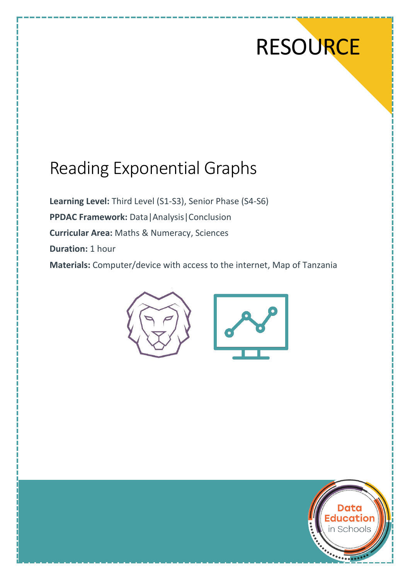# **RESOURCE**

## Reading Exponential Graphs

**Learning Level:** Third Level (S1-S3), Senior Phase (S4-S6) **PPDAC Framework:** Data|Analysis|Conclusion **Curricular Area:** Maths & Numeracy, Sciences **Duration:** 1 hour **Materials:** Computer/device with access to the internet, Map of Tanzania



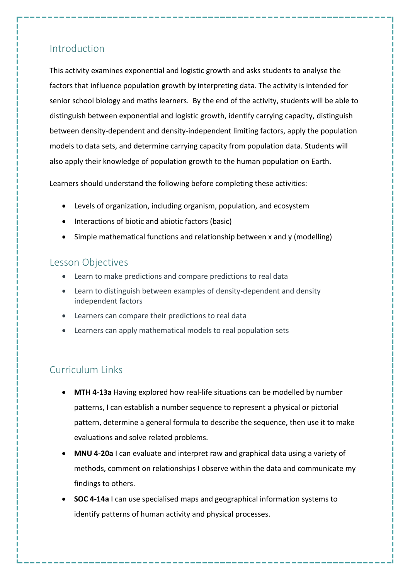#### Introduction

This activity examines exponential and logistic growth and asks students to analyse the factors that influence population growth by interpreting data. The activity is intended for senior school biology and maths learners. By the end of the activity, students will be able to distinguish between exponential and logistic growth, identify carrying capacity, distinguish between density-dependent and density-independent limiting factors, apply the population models to data sets, and determine carrying capacity from population data. Students will also apply their knowledge of population growth to the human population on Earth.

Learners should understand the following before completing these activities:

- Levels of organization, including organism, population, and ecosystem
- Interactions of biotic and abiotic factors (basic)
- Simple mathematical functions and relationship between x and y (modelling)

#### Lesson Objectives

- Learn to make predictions and compare predictions to real data
- Learn to distinguish between examples of density-dependent and density independent factors
- Learners can compare their predictions to real data
- Learners can apply mathematical models to real population sets

### Curriculum Links

- **MTH 4-13a** Having explored how real-life situations can be modelled by number patterns, I can establish a number sequence to represent a physical or pictorial pattern, determine a general formula to describe the sequence, then use it to make evaluations and solve related problems.
- **MNU 4-20a** I can evaluate and interpret raw and graphical data using a variety of methods, comment on relationships I observe within the data and communicate my findings to others.
- **SOC 4-14a** I can use specialised maps and geographical information systems to identify patterns of human activity and physical processes.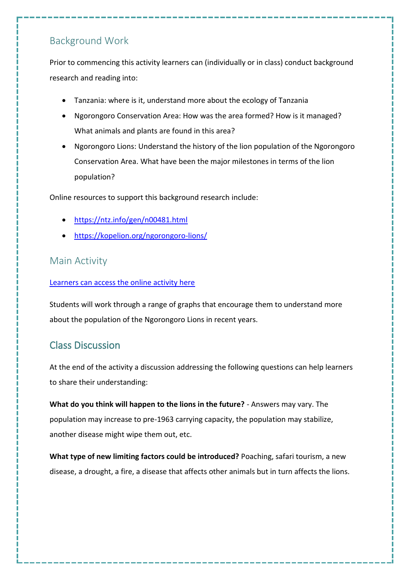#### Background Work

Prior to commencing this activity learners can (individually or in class) conduct background research and reading into:

- Tanzania: where is it, understand more about the ecology of Tanzania
- Ngorongoro Conservation Area: How was the area formed? How is it managed? What animals and plants are found in this area?
- Ngorongoro Lions: Understand the history of the lion population of the Ngorongoro Conservation Area. What have been the major milestones in terms of the lion population?

Online resources to support this background research include:

- <https://ntz.info/gen/n00481.html>
- <https://kopelion.org/ngorongoro-lions/>

#### Main Activity

#### [Learners can access the online activity here](https://smartgraphs-activities.concord.org/activities/225-african-lions-modeling-populations/student_preview)

Students will work through a range of graphs that encourage them to understand more about the population of the Ngorongoro Lions in recent years.

### Class Discussion

At the end of the activity a discussion addressing the following questions can help learners to share their understanding:

**What do you think will happen to the lions in the future?** - Answers may vary. The population may increase to pre-1963 carrying capacity, the population may stabilize, another disease might wipe them out, etc.

**What type of new limiting factors could be introduced?** Poaching, safari tourism, a new disease, a drought, a fire, a disease that affects other animals but in turn affects the lions.